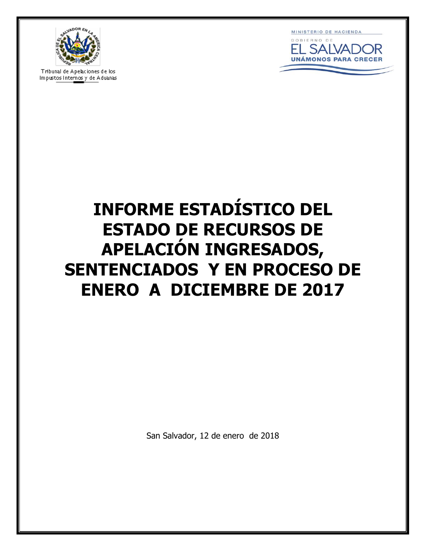

**Tribunal de Apelaciones de los<br>Impustos Inte<u>rnos</u> y de Aduanas** 



# **INFORME ESTADÍSTICO DEL ESTADO DE RECURSOS DE APELACIÓN INGRESADOS, SENTENCIADOS Y EN PROCESO DE ENERO A DICIEMBRE DE 2017**

San Salvador, 12 de enero de 2018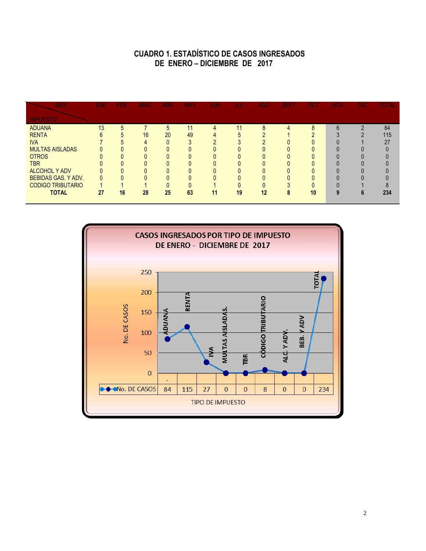## **CUADRO 1. ESTADÍSTICO DE CASOS INGRESADOS DE ENERO – DICIEMBRE DE 2017**

| <b>MES</b>                 | ENE. | FEB. | <b>MAR</b> | ABR | <b>MAY</b> | <b>JUN</b> | JUL | <b>AGO</b> | <b>SEPT</b> | OCT      | <b>NOV</b> | <b>DIC</b> | <b>TOTAL</b> |
|----------------------------|------|------|------------|-----|------------|------------|-----|------------|-------------|----------|------------|------------|--------------|
| <b>IMPUESTO</b>            |      |      |            |     |            |            |     |            |             |          |            |            |              |
| <b>ADUANA</b>              | 13   | 5    |            | 5   | -14        | Д          | 11  | 8          |             | 8        | 6          |            | 84           |
| <b>RENTA</b>               |      |      | 16         | 20  | 49         |            | 5.  |            |             | $\Omega$ |            |            | 115          |
| <b>IVA</b>                 |      |      |            |     | $\Omega$   |            | ◠   |            |             |          |            |            | 27           |
| <b>MULTAS AISLADAS</b>     |      |      |            | N   |            |            |     |            |             |          |            |            |              |
| <b>OTROS</b>               |      |      |            |     |            |            |     |            |             |          |            |            |              |
| <b>TBR</b>                 |      |      |            |     |            |            |     |            |             |          |            |            |              |
| <b>ALCOHOL Y ADV</b>       |      |      |            |     |            |            |     |            |             |          |            |            |              |
| <b>BEBIDAS GAS. Y ADV.</b> |      |      |            |     |            |            |     |            |             |          |            |            |              |
| <b>CODIGO TRIBUTARIO</b>   |      |      |            |     |            |            |     |            |             |          |            |            |              |
| <b>TOTAL</b>               | 27   | 16   | 28         | 25  | 63         | 11         | 19  | 12         | 8           | 10       | 9          |            | 234          |
|                            |      |      |            |     |            |            |     |            |             |          |            |            |              |

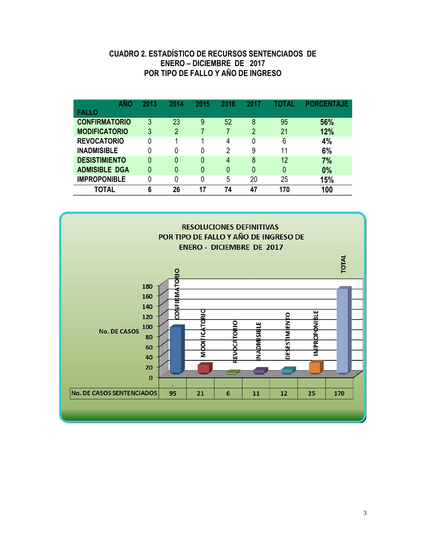### **CUADRO 2. ESTADÍSTICO DE RECURSOS SENTENCIADOS DE ENERO – DICIEMBRE DE 2017 POR TIPO DE FALLO Y AÑO DE INGRESO**

| AÑO                  | 2013 | 2014           | 2015 | 2016     | 2017           | <b>FOTAL</b> | <b>PORCENTAJE</b> |
|----------------------|------|----------------|------|----------|----------------|--------------|-------------------|
| <b>FALLO</b>         |      |                |      |          |                |              |                   |
| <b>CONFIRMATORIO</b> | 3    | 23             | 9    | 52       | 8              | 95           | 56%               |
| <b>MODIFICATORIO</b> | 3    | $\overline{2}$ |      |          | $\overline{2}$ | 21           | 12%               |
| <b>REVOCATORIO</b>   | 0    |                | и    | 4        | 0              | 6            | 4%                |
| <b>INADMISIBLE</b>   | 0    | 0              | 0    | 2        | 9              | 11           | 6%                |
| <b>DESISTIMIENTO</b> | 0    | 0              | 0    | 4        | 8              | 12           | 7%                |
| <b>ADMISIBLE DGA</b> | 0    | 0              | 0    | $\Omega$ | 0              | 0            | 0%                |
| <b>IMPROPONIBLE</b>  | 0    | 0              |      | 5        | 20             | 25           | 15%               |
| TOTAL                | 6    | 26             | 17   | 74       | 47             | 170          | 100               |

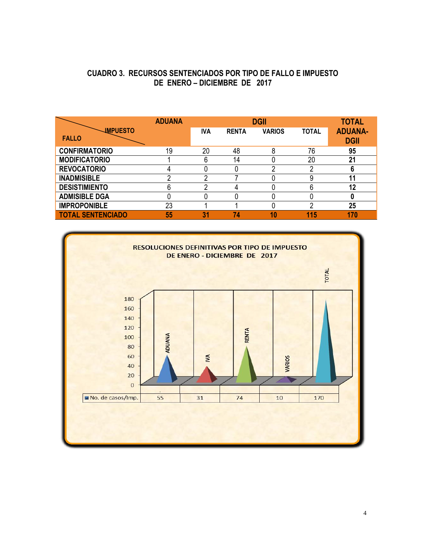#### **CUADRO 3. RECURSOS SENTENCIADOS POR TIPO DE FALLO E IMPUESTO DE ENERO – DICIEMBRE DE 2017**

|                                 | <b>ADUANA</b> |            | <b>TOTAL</b> |               |              |                               |
|---------------------------------|---------------|------------|--------------|---------------|--------------|-------------------------------|
| <b>IMPUESTO</b><br><b>FALLO</b> |               | <b>IVA</b> | <b>RENTA</b> | <b>VARIOS</b> | <b>TOTAL</b> | <b>ADUANA-</b><br><b>DGII</b> |
| <b>CONFIRMATORIO</b>            | 19            | 20         | 48           | 8             | 76           | 95                            |
| <b>MODIFICATORIO</b>            |               | 6          | 14           |               | 20           | 21                            |
| <b>REVOCATORIO</b>              |               |            |              |               |              |                               |
| <b>INADMISIBLE</b>              | റ             | ∩          |              |               |              |                               |
| <b>DESISTIMIENTO</b>            | 6             | ი          |              |               | 6            | 12                            |
| <b>ADMISIBLE DGA</b>            |               |            |              |               |              |                               |
| <b>IMPROPONIBLE</b>             | 23            |            |              |               | ∩            | 25                            |
| <b>TOTAL SENTENCIADO</b>        | 55            | 31         | 74           | 10            | 115          | 170                           |

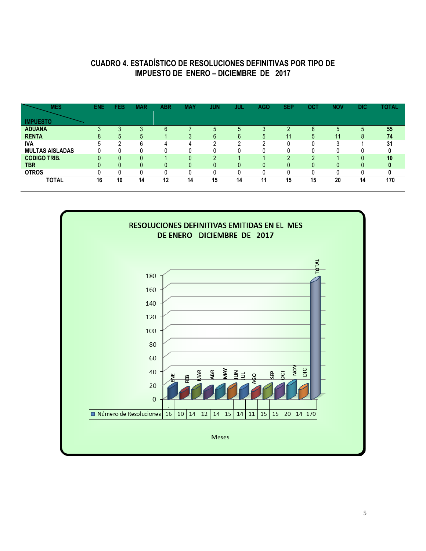## **CUADRO 4. ESTADÍSTICO DE RESOLUCIONES DEFINITIVAS POR TIPO DE IMPUESTO DE ENERO – DICIEMBRE DE 2017**

| <b>MES</b>             | <b>ENE</b> | FEB          | <b>MAR</b> | <b>ABR</b> | <b>MAY</b> | <b>JUN</b> | JUL | <b>AGO</b> | <b>SEP</b> | ост | <b>NOV</b> | <b>DIC</b> | TOTAL |
|------------------------|------------|--------------|------------|------------|------------|------------|-----|------------|------------|-----|------------|------------|-------|
| <b>IMPUESTO</b>        |            |              |            |            |            |            |     |            |            |     |            |            |       |
| <b>ADUANA</b>          |            |              | ◠          | հ          |            | 5          | 5   |            |            | Õ   | 5          | 5          | 55    |
| <b>RENTA</b>           |            | $\mathbf{r}$ | 5          |            | ◠          | 6          | 6   | 5          | 11         | 5   | 11         | 8          | 74    |
| <b>IVA</b>             |            |              | 6          | Д          | Д          | n          | ◠   | ∩          | Ω          |     | ົ          |            | 31    |
| <b>MULTAS AISLADAS</b> |            |              |            |            |            |            |     |            |            |     |            |            |       |
| <b>CODIGO TRIB.</b>    |            | n            | 0          |            | n          | ∩          |     |            | ŋ          | n   |            | n          | 10    |
| <b>TBR</b>             |            |              | 0          | 0          | 0          | 0          | 0   |            | 0          | 0   | 0          |            |       |
| <b>OTROS</b>           |            |              |            | 0          |            |            |     |            |            |     |            |            |       |
| <b>TOTAL</b>           | 16         | 10           | 14         | 12         | 14         | 15         | 14  | 11         | 15         | 15  | 20         | 14         | 170   |

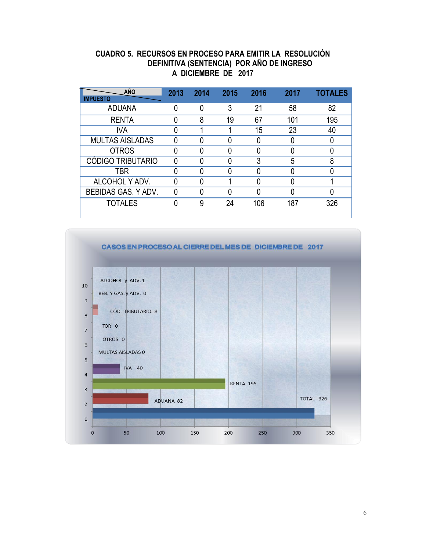#### **CUADRO 5. RECURSOS EN PROCESO PARA EMITIR LA RESOLUCIÓN DEFINITIVA (SENTENCIA) POR AÑO DE INGRESO A DICIEMBRE DE 2017**

| <b>AÑO</b>               | 2013 | 2014 | 2015 | 2016 | 2017 | <b>TOTALES</b> |
|--------------------------|------|------|------|------|------|----------------|
| <b>IMPUESTO</b>          |      |      |      |      |      |                |
| <b>ADUANA</b>            |      | 0    | 3    | 21   | 58   | 82             |
| <b>RENTA</b>             |      | 8    | 19   | 67   | 101  | 195            |
| IVA                      |      |      |      | 15   | 23   | 40             |
| <b>MULTAS AISLADAS</b>   |      |      |      |      |      |                |
| <b>OTROS</b>             |      |      |      |      |      |                |
| <b>CÓDIGO TRIBUTARIO</b> | N    |      |      | 3    | 5    | 8              |
| TBR                      |      |      |      |      |      |                |
| ALCOHOL Y ADV.           |      |      |      |      |      |                |
| BEBIDAS GAS. Y ADV.      |      |      |      |      |      |                |
| <b>TOTALES</b>           |      | 9    | 24   | 106  | 187  | 326            |

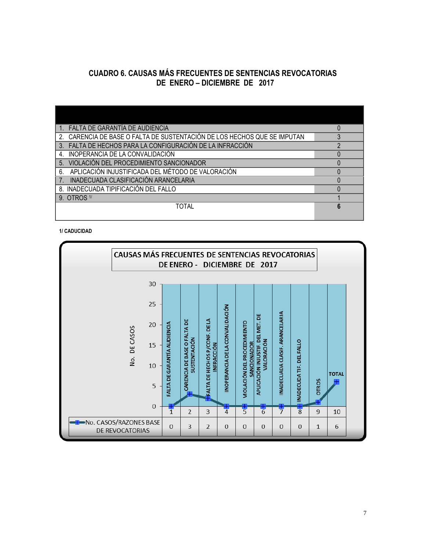### **CUADRO 6. CAUSAS MÁS FRECUENTES DE SENTENCIAS REVOCATORIAS DE ENERO – DICIEMBRE DE 2017**

| FALTA DE GARANTÍA DE AUDIENCIA                                                          |  |
|-----------------------------------------------------------------------------------------|--|
| CARENCIA DE BASE O FALTA DE SUSTENTACIÓN DE LOS HECHOS QUE SE IMPUTAN<br>2 <sup>1</sup> |  |
| 3. FALTA DE HECHOS PARA LA CONFIGURACIÓN DE LA INFRACCIÓN                               |  |
| INOPERANCIA DE LA CONVALIDACIÓN<br>4.                                                   |  |
| VIOLACIÓN DEL PROCEDIMIENTO SANCIONADOR<br>5 <sub>1</sub>                               |  |
| APLICACIÓN INJUSTIFICADA DEL MÉTODO DE VALORACIÓN<br>6.                                 |  |
| INADECUADA CLASIFICACIÓN ARANCELARIA                                                    |  |
| 8. INADECUADA TIPIFICACIÓN DEL FALLO                                                    |  |
| 9. OTROS 1/                                                                             |  |
| TOTAL                                                                                   |  |
|                                                                                         |  |

**1/ CADUCIDAD**